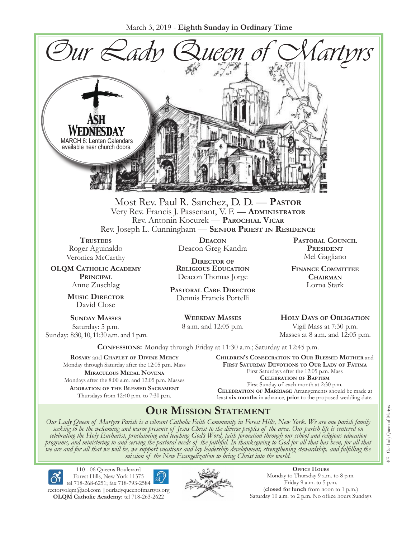March 3, 2019 - **Eighth Sunday in Ordinary Time**



Most Rev. Paul R. Sanchez, D. D. — **Pastor** Very Rev. Francis J. Passenant, V. F. — **Administrator** Rev. Antonin Kocurek — **Parochial Vicar** Rev. Joseph L. Cunningham — **Senior Priest in Residence**

**TRUSTEES** Roger Aguinaldo Veronica McCarthy

**OLQM Catholic Academy Principal** Anne Zuschlag

> **Music Director** David Close

**Sunday Masses** Saturday: 5 p.m. Sunday: 8:30, 10, 11:30 a.m. and 1 p.m.

**Deacon** Deacon Greg Kandra

**Director of Religious Education** Deacon Thomas Jorge

**Pastoral Care Director** Dennis Francis Portelli

> **Weekday Masses** 8 a.m. and 12:05 p.m.

**Pastoral Council** PRESIDENT Mel Gagliano

**Finance Committee Chairman** Lorna Stark

**Holy Days of Obligation** Vigil Mass at 7:30 p.m. Masses at 8 a.m. and 12:05 p.m.

**Confessions:** Monday through Friday at 11:30 a.m.; Saturday at 12:45 p.m.

**Rosary** and **Chaplet of Divine Mercy** Monday through Saturday after the 12:05 p.m. Mass **Miraculous Medal Novena** Mondays after the 8:00 a.m. and 12:05 p.m. Masses **Adoration of the Blessed Sacrament** Thursdays from 12:40 p.m. to 7:30 p.m.

**Children's Consecration to Our Blessed Mother** and **First Saturday Devotions to Our Lady of Fátima** First Saturdays after the 12:05 p.m. Mass **Celebration of Baptism** First Sunday of each month at 2:30 p.m. **Celebration of Marriage** Arrangements should be made at least **six months** in advance, **prior** to the proposed wedding date.

# **Our Mission Statement**

Our Lady Queen of Martyrs Parish is a vibrant Catholic Faith Community in Forest Hills, New York. We are one parish family<br>seeking to be the welcoming and warm presence of Jesus Christ to the diverse peoples of the area. O *celebrating the Holy Eucharist, proclaiming and teaching God's Word, faith formation through our school and religious education*  programs, and ministering to and serving the pastoral needs of the faithful. In thanksgiving to God for all that has been, for all that<br>we are and for all that we will be, we support vocations and lay leadership developmen



110 - 06 Queens Boulevard Forest Hills, New York 11375 tel 718-268-6251; fax 718-793-2584

[rectoryolqm@aol.com](mailto:rectoryolqm@aol.com) **|**[ourladyqueenofmartyrs.org](www.ourladyqueenofmartyrs.org) **OLQM Catholic Academy:** tel 718-263-2622



**Office Hours** Monday to Thursday 9 a.m. to 8 p.m. Friday 9 a.m. to 5 p.m. (**closed for lunch** from noon to 1 p.m.) Saturday 10 a.m. to 2 p.m. No office hours Sundays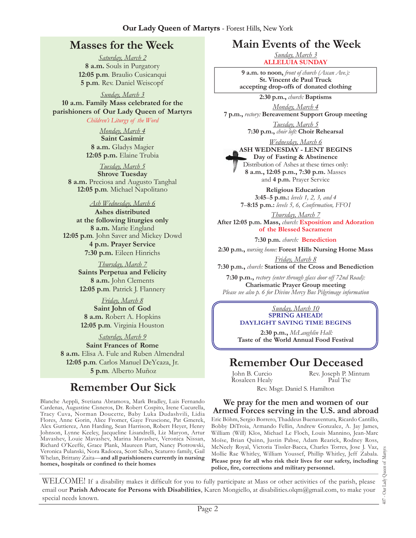# **Masses for the Week**

*Saturday, March 2* **8 a.m.** Souls in Purgatory **12:05 p.m***.* Braulio Cusicanqui **5 p.m***.* Rev. Daniel Weiscopf

*Sunday, March 3* **10 a.m. Family Mass celebrated for the parishioners of Our Lady Queen of Martyrs**

*Children's Liturgy of the Word* 

*Monday, March 4* **Saint Casimir 8 a.m.** Gladys Magier **12:05 p.m.** Elaine Trubia

*Tuesday, March 5* **Shrove Tuesday 8 a.m.** Preciosa and Augusto Tanghal **12:05 p.m***.* Michael Napolitano

#### *Ash Wednesday, March 6*

**Ashes distributed at the following liturgies only 8 a.m.** Marie England **12:05 p.m***.* John Saver and Mickey Dowd **4 p.m. Prayer Service 7:30 p.m.** Eileen Hinrichs

> *Thursday, March 7* **Saints Perpetua and Felicity 8 a.m.** John Clements **12:05 p.m***.* Patrick J. Flannery

*Friday, March 8* **Saint John of God 8 a.m.** Robert A. Hopkins **12:05 p.m***.* Virginia Houston

*Saturday, March 9* **Saint Frances of Rome 8 a.m.** Elisa A. Fule and Ruben Almendral **12:05 p.m***.* Carlos Manuel DeYcaza, Jr. **5 p.m***.* Alberto Muñoz

# **Remember Our Sick**

Blanche Aeppli, Svetiana Abramova, Mark Bradley, Luis Fernando Cardenas, Augustine Cisneros, Dr. Robert Cospito, Irene Cucurella, Tracy Cuva, Norman Doucette, Baby Luka Dudashvili, Lidia Flores, Anne Gorin, Alice Fromer, Gaye Fruscione, Pat Gmerek, Alex Guttierez, Ann Harding, Sean Harrison, Robert Heyer, Henry Johnson, Lynne Keeley, Jacqueline Lisandrelli, Liz Maryon, Artur Mavashev, Louie Mavashev, Marina Mavashev, Veronica Nissan, Richard O'Keeffe, Grace Plank, Maureen Piatt, Nancy Piotrowski, Veronica Pulanski, Nora Radocea, Scott Salbo, Scaturro family, Gail Whelan, Brittany Zaita—**and all parishioners currently in nursing homes, hospitals or confined to their homes**

# **Main Events of the Week**

*Sunday, March 3* **Alleluia Sunday**

**9 a.m. to noon,** *front of church (Ascan Ave.):*  **St. Vincent de Paul Truck accepting drop-offs of donated clothing**

**2:30 p.m.,** *church:* **Baptisms**

*Monday, March 4* **7 p.m.,** *rectory:* **Bereavement Support Group meeting**

> *Tuesday, March 5* **7:30 p.m.,** *choir loft:* **Choir Rehearsal**

*Wednesday, March 6* **Ash Wednesday - Lent Begins Day of Fasting & Abstinence** Distribution of Ashes at these times only: **8 a.m., 12:05 p.m., 7:30 p.m.** Masses and **4 p.m.** Prayer Service

> **Religious Education 3:45**–**5 p.m.:** *levels 1, 2, 3, and 4*  **7**–**8:15 p.m.:** *levels 5, 6, Confirmation, FFO  I*

*Thursday, March 7* **After 12:05 p.m. Mass,** *church:* **Exposition and Adoration of the Blessed Sacrament**

**7:30 p.m.** *church:* **Benediction**

**2:30 p.m.,** *nursing home:* **Forest Hills Nursing Home Mass**

*Friday, March 8* **7:30 p.m.,** *church:* **Stations of the Cross and Benediction**

**7:30 p.m.,** *rectory (enter through glass door off 72nd Road):* **Charismatic Prayer Group meeting** *Please see also p. 6 for Divine Mercy Bus Pilgrimage information*

#### *Sunday, March 10* **Spring Ahead! Daylight Saving Time Begins**

**2:30 p.m.,** *McLaughlin Hall:*  **Taste of the World Annual Food Festival**

# **Remember Our Deceased**

John B. Curcio Rosaleen Healy Rev. Joseph P. Mintum Paul Tse

Rev. Msgr. Daniel S. Hamilton

#### **We pray for the men and women of our Armed Forces serving in the U.S. and abroad**

Eric Böhm, Sergio Borrero, Thaddeus Buenaventura, Ricardo Cantillo, Bobby DiTroia, Armando Fellin, Andrew Gonzalez, A. Jay James, William (Will) Klos, Michael Le Floch, Louis Mannino, Jean-Marc Moïse, Brian Quinn, Justin Pabse, Adam Rearick, Rodney Ross, McNeely Royal, Victoria Tissler-Bacca, Charles Torres, Jose J. Vaz, Mollie Rae Whitley, William Youssef, Phillip Whitley, Jeff Zabala. **Please pray for all who risk their lives for our safety, including police, fire, corrections and military personnel.**

WELCOME! If a disability makes it difficult for you to fully participate at Mass or other activities of the parish, please email our **Parish Advocate for Persons with Disabilities**, Karen Mongiello, at [disabilities.olqm@gmail.com,](mailto:disabilities.olqm@gmail.com) to make your special needs known.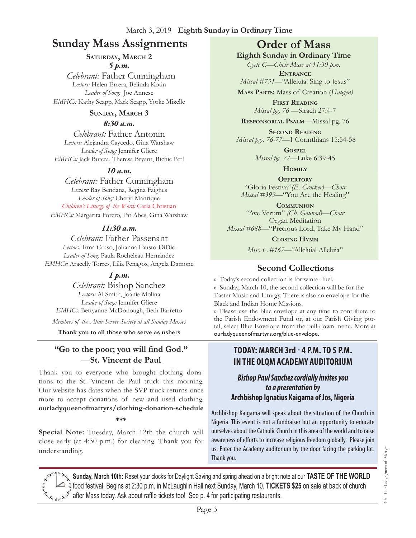# **Sunday Mass Assignments Order of Mass**

### **Saturday, March 2**

*5 p.m.* 

 *Celebrant:* Father Cunningham *Lectors:* Helen Errera, Belinda Kotin *Leader of Song:* Joe Annese *EMHCs:* Kathy Scapp, Mark Scapp, Yorke Mizelle

### **Sunday, March 3**

### *8:30 a.m.*

*Celebrant:* Father Antonin *Lectors:* Alejandra Caycedo, Gina Warshaw *Leader of Song:* Jennifer Gliere *EMHCs:* Jack Butera, Theresa Bryant, Richie Perl

### *10 a.m.*

*Celebrant:* Father Cunningham *Lectors:* Ray Bendana, Regina Faighes *Leader of Song:* Cheryl Manrique *Children's Liturgy of the Word:* Carla Christian *EMHCs:* Margarita Forero, Pat Abes, Gina Warshaw

### *11:30 a.m.*

*Celebrant:* Father Passenant *Lectors:* Irma Cruso, Johanna Fausto-DiDio *Leader of Song:* Paula Rocheleau Hernández *EMHCs:* Aracelly Torres, Lilia Penagos, Angela Damone

### *1 p.m.*

*Celebrant:* Bishop Sanchez *Lectors:* Al Smith, Joanie Molina *Leader of Song:* Jennifer Gliere *EMHCs:* Bettyanne McDonough, Beth Barretto *Members of the Altar Server Society at all Sunday Masses*

**Thank you to all those who serve as ushers**

### **"Go to the poor; you will find God."** —**St. Vincent de Paul**

Thank you to everyone who brought clothing donations to the St. Vincent de Paul truck this morning. Our website has dates when the SVP truck returns once more to accept donations of new and used clothing. **ourladyqueenofmartyrs/clothing-donation-schedule**

**\*\*\***

**Special Note:** Tuesday, March 12th the church will close early (at 4:30 p.m.) for cleaning. Thank you for understanding.

**Eighth Sunday in Ordinary Time**

*Cycle C—Choir Mass at 11:30 p.m.*  **Entrance**

*Missal* #731—"Alleluia! Sing to Jesus" **Mass Parts:** Mass of Creation (*Haugen)*

> **First Reading** *Missal pg. 76 —*Sirach 27:4-7

**Responsorial Psalm**—Missal pg. 76

**Second Reading** *Missal pgs. 76-77—*1 Corinthians 15:54-58

> **Gospel** *Missal pg. 77—*Luke 6:39-45

> > **Homily**

**OFFERTORY** "Gloria Festiva"*(E. Crocker)—Choir Missal #399—*"You Are the Healing"

**Communion** "Ave Verum" *(Ch. Gounod)—Choir* Organ Meditation *Missal #688—*"Precious Lord, Take My Hand"

**Closing Hymn**

*Missal #167—*"Alleluia! Alleluia"

### **Second Collections**

›› Today's second collection is for winter fuel. ›› Sunday, March 10, the second collection will be for the Easter Music and Liturgy. There is also an envelope for the Black and Indian Home Missions.

›› Please use the blue envelope at any time to contribute to the Parish Endowment Fund or, at our Parish Giving portal, select Blue Envelope from the pull-down menu. More at ourladyqueenofmartyrs.org/blue-envelope.

### **TODAY: March 3rd - 4 p.m. to 5 p.m. in the OLQM Academy AUDITORIUM**

### *Bishop Paul Sanchez cordially invites you to a presentation by*  **Archbishop Ignatius Kaigama of Jos, Nigeria**

Archbishop Kaigama will speak about the situation of the Church in Nigeria. This event is not a fundraiser but an opportunity to educate ourselves about the Catholic Church in this area of the world and to raise awareness of efforts to increase religious freedom globally. Please join us. Enter the Academy auditorium by the door facing the parking lot. Thank you.

**Sunday, March 10th:** Reset your clocks for Daylight Saving and spring ahead on a bright note at our **TASTE OF THE WORLD**  food festival. Begins at 2:30 p.m. in McLaughlin Hall next Sunday, March 10. **TICKETS \$25** on sale at back of church after Mass today. Ask about raffle tickets too! See p. 4 for participating restaurants.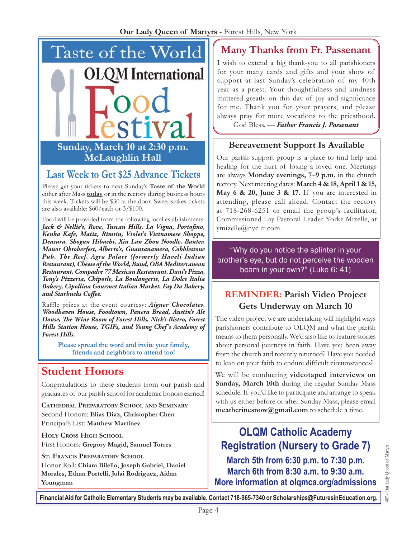

# **Last Week to Get \$25 Advance Tickets**

Please get your tickets to next Sunday's **Taste of the World** either after Mass **today** or in the rectory during business hours this week. Tickets will be \$30 at the door. Sweepstakes tickets are also available: \$60/each or 3/\$100.

Food will be provided from the following local establishments: *Jack & Nellie's, Rove, Tuscan Hills, La Vigna, Portofino, Keuka Kafe, Matiz, Rimtin, Violet's Vietnamese Shoppe, Deasura, Shogun Hibachi, Xin Lan Zhou Noodle, Banter, Manor Oktoberfest, Alberto's, Guantanamera, Cobblestone Pub, The Reef, Agra Palace (formerly Haveli Indian Restaurant), Cheese of the World, Bund, OBA Mediterranean Restaurant, Compadre 77 Mexican Restaurant, Dani's Pizza, Tony's Pizzeria, Chipotle, La Boulangerie, La Dolce Italia Bakery, Cipollina Gourmet Italian Market, Fay Da Bakery, and Starbucks Coffee.*

Raffle prizes at the event courtesy: *Aigner Chocolates, Woodhaven House, Foodtown, Panera Bread, Austin's Ale House, The Wine Room of Forest Hills, Nick's Bistro, Forest Hills Station House, TGIFs, and Young Chef's Academy of Forest Hills.*

> Please spread the word and invite your family, friends and neighbors to attend too!

# **Student Honors**

Congratulations to these students from our parish and graduates of our parish school for academic honors earned!

**Cathedral Preparatory School and Seminary** Second Honors: **Elias Diaz, Christopher Chen** Principal's List: **Matthew Martinez** 

**Holy Cross High School** First Honors: **Gregory Magid, Samuel Torres**

**ST. FRANCIS PREPARATORY SCHOOL** 

Honor Roll: **Chiara Bilello, Joseph Gabriel, Daniel Morales, Ethan Portelli, Jolai Rodriguez, Aidan Youngman**

# **Many Thanks from Fr. Passenant**

I wish to extend a big thank-you to all parishioners for your many cards and gifts and your show of support at last Sunday's celebration of my 40th year as a priest. Your thoughtfulness and kindness mattered greatly on this day of joy and significance for me. Thank you for your prayers, and please always pray for more vocations to the priesthood. God Bless. — *Father Francis J. Passenant* 

# **Bereavement Support Is Available**

Our parish support group is a place to find help and healing for the hurt of losing a loved one. Meetings are always **Monday evenings, 7**–**9 p.m.** in the church rectory. Next meeting dates: **March 4 & 18, April 1 & 15, May 6 & 20, June 3 & 17.** If you are interested in attending, please call ahead. Contact the rectory at 718-268-6251 or email the group's facilitator, Commissioned Lay Pastoral Leader Yorke Mizelle, at [ymizelle@nyc.rr.com.](mailto:ymizelle@nyc.rr.com)

"Why do you notice the splinter in your brother's eye, but do not perceive the wooden beam in your own?" (Luke 6: 41)

# **REMINDER: Parish Video Project Gets Underway on March 10**

The video project we are undertaking will highlight ways parishioners contribute to OLQM and what the parish means to them personally. We'd also like to feature stories about personal journeys in faith. Have you been away from the church and recently returned? Have you needed to lean on your faith to endure difficult circumstances?

We will be conducting **videotaped interviews on Sunday, March 10th** during the regular Sunday Mass schedule. If you'd like to participate and arrange to speak with us either before or after Sunday Mass, please email **[mcatherinesnow@gmail.com](mailto:mcatherinesnow@gmail.com)** to schedule a time.

**OLQM Catholic Academy Registration (Nursery to Grade 7) March 5th from 6:30 p.m. to 7:30 p.m. March 6th from 8:30 a.m. to 9:30 a.m. More information at olqmca.org/admissions**

407 - Our Lady Queen of Martyrs

407 - Our Lady Queen of Martyrs

**Financial Aid for Catholic Elementary Students may be available. Contact 718-965-7340 or [Scholarships@FuturesinEducation.org](mailto:Scholarships@FuturesinEducation.org).**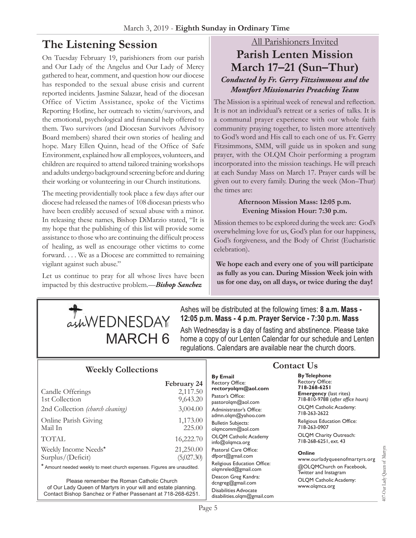# **The Listening Session**

On Tuesday February 19, parishioners from our parish and Our Lady of the Angelus and Our Lady of Mercy gathered to hear, comment, and question how our diocese has responded to the sexual abuse crisis and current reported incidents. Jasmine Salazar, head of the diocesan Office of Victim Assistance, spoke of the Victims Reporting Hotline, her outreach to victim/survivors, and the emotional, psychological and financial help offered to them. Two survivors (and Diocesan Survivors Advisory Board members) shared their own stories of healing and hope. Mary Ellen Quinn, head of the Office of Safe Environment, explained how all employees, volunteers, and children are required to attend tailored training workshops and adults undergo background screening before and during their working or volunteering in our Church institutions.

The meeting providentially took place a few days after our diocese had released the names of 108 diocesan priests who have been credibly accused of sexual abuse with a minor. In releasing these names, Bishop DiMarzio stated, "It is my hope that the publishing of this list will provide some assistance to those who are continuing the difficult process of healing, as well as encourage other victims to come forward. . . . We as a Diocese are committed to remaining vigilant against such abuse."

Let us continue to pray for all whose lives have been impacted by this destructive problem.—*Bishop Sanchez* 

### All Parishioners Invited

# **Parish Lenten Mission March 17–21 (Sun–Thur)** *Conducted by Fr. Gerry Fitzsimmons and the Montfort Missionaries Preaching Team*

The Mission is a spiritual week of renewal and reflection. It is not an individual's retreat or a series of talks. It is a communal prayer experience with our whole faith community praying together, to listen more attentively to God's word and His call to each one of us. Fr. Gerry Fitzsimmons, SMM, will guide us in spoken and sung prayer, with the OLQM Choir performing a program incorporated into the mission teachings. He will preach at each Sunday Mass on March 17. Prayer cards will be given out to every family. During the week (Mon–Thur) the times are:

### **Afternoon Mission Mass: 12:05 p.m. Evening Mission Hour: 7:30 p.m.**

Mission themes to be explored during the week are: God's overwhelming love for us, God's plan for our happiness, God's forgiveness, and the Body of Christ (Eucharistic celebration).

**We hope each and every one of you will participate as fully as you can. During Mission Week join with us for one day, on all days, or twice during the day!** 



Ashes will be distributed at the following times: **8 a.m. Mass - 12:05 p.m. Mass - 4 p.m. Prayer Service - 7:30 p.m. Mass** 

Ash Wednesday is a day of fasting and abstinence. Please take  $\text{MARCH}\ 6$  home a copy of our Lenten Calendar for our schedule and Lenten regulations. Calendars are available near the church doors.

# **Weekly Collections**

|                                                                        | February 24 |
|------------------------------------------------------------------------|-------------|
| Candle Offerings                                                       | 2,117.50    |
| 1st Collection                                                         | 9,643.20    |
| 2nd Collection (church cleaning)                                       | 3,004.00    |
| Online Parish Giving                                                   | 1,173.00    |
| Mail In                                                                | 225.00      |
| <b>TOTAL</b>                                                           | 16,222.70   |
| Weekly Income Needs*                                                   | 21,250.00   |
| Surplus/(Deficit)                                                      | (5,027.30)  |
| * Amount needed weekly to meet church expenses. Figures are unaudited. |             |

Please remember the Roman Catholic Church of Our Lady Queen of Martyrs in your will and estate planning. Contact Bishop Sanchez or Father Passenant at 718-268-6251.

#### **By Email** Rectory Office: **rectoryolqm@aol.com** Pastor's Office: pastorolqm@aol.com Administrator's Office: admn.olqm@yahoo.com Bulletin Subjects: olqmcomm@aol.com OLQM Catholic Academy info@olqmca.org Pastoral Care Office: dfport@gmail.com Religious Education Office: olqmreled@gmail.com Deacon Greg Kandra: dcngreg@gmail.com Disabilities Advocate [disabilities.olqm@gmail.com](mailto:disabilities.olqm@gmail.com)

# **Contact Us**

**By Telephone** Rectory Office: **718-268-6251 Emergency** (last rites) 718-810-9788 (*after office hours)* OLQM Catholic Academy: 718-263-2622

Religious Education Office: 718-263-0907

OLQM Charity Outreach: 718-268-6251, ext. 43

#### **Online**

www.ourladyqueenofmartyrs.org @OLQMChurch on Facebook, Twitter and Instagram OLQM Catholic Academy: www.olqmca.org

407-Our Lady Queen of Martyrs 407-Our Lady Queen of Martyrs